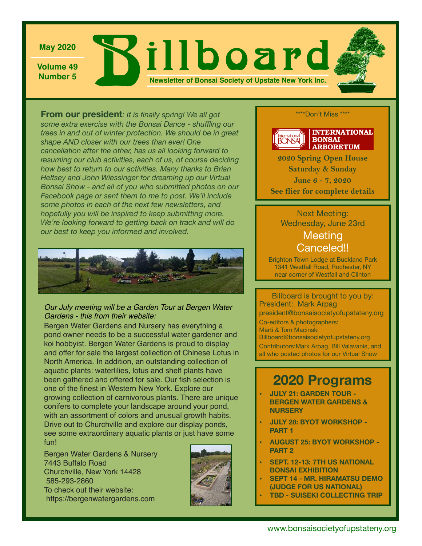

**Volume 49**

**May 2020**<br>Volume 49<br>Number 5 **Newsletter of Bonsai Society of Upstate New York Inc.**

**From our president***: It is finally spring! We all got some extra exercise with the Bonsai Dance - shuffling our trees in and out of winter protection. We should be in great shape AND closer with our trees than ever! One cancellation after the other, has us all looking forward to resuming our club activities, each of us, of course deciding how best to return to our activities. Many thanks to Brian Heltsey and John Wiessinger for dreaming up our Virtual Bonsai Show - and all of you who submitted photos on our Facebook page or sent them to me to post. We'll include some photos in each of the next few newsletters, and hopefully you will be inspired to keep submitting more. We're looking forward to getting back on track and will do our best to keep you informed and involved.* 



#### *Our July meeting will be a Garden Tour at Bergen Water Gardens - this from their website:*

Bergen Water Gardens and Nursery has everything a pond owner needs to be a successful water gardener and koi hobbyist. Bergen Water Gardens is proud to display and offer for sale the largest collection of Chinese Lotus in North America. In addition, an outstanding collection of aquatic plants: waterlilies, lotus and shelf plants have been gathered and offered for sale. Our fish selection is one of the finest in Western New York. Explore our growing collection of carnivorous plants. There are unique conifers to complete your landscape around your pond, with an assortment of colors and unusual growth habits. Drive out to Churchville and explore our display ponds, see some extraordinary aquatic plants or just have some fun!

Bergen Water Gardens & Nursery 7443 Buffalo Road Churchville, New York 14428 585-293-2860 To check out their website: <https://bergenwatergardens.com>



\*\*\*\*Don't Miss \*\*\*\*



**2020 Spring Open House Saturday & Sunday June 6 - 7, 2020 See flier for complete details**

### Next Meeting: Wednesday, June 23rd

### **Meeting** Canceled!!

Brighton Town Lodge at Buckland Park 1341 Westfall Road, Rochester, NY near corner of Westfall and Clinton

Billboard is brought to you by: President: Mark Arpag [president@bonsaisocietyofupstateny.org](mailto:president@bonsaisocietyofupstateny.org) Co-editors & photographers: Marti & Tom Macinski Billboard@bonsaisocietyofupstateny.org Contributors:Mark Arpag, Bill Valavanis, and all who posted photos for our Virtual Show

## **2020 Programs**

- **• JULY 21: GARDEN TOUR BERGEN WATER GARDENS & NURSERY**
- **• JULY 28: BYOT WORKSHOP PART 1**
- **• AUGUST 25: BYOT WORKSHOP PART 2**
- **• SEPT. 12-13: 7TH US NATIONAL BONSAI EXHIBITION**
- **• SEPT 14 MR. HIRAMATSU DEMO (JUDGE FOR US NATIONAL)**
- **• TBD SUISEKI COLLECTING TRIP**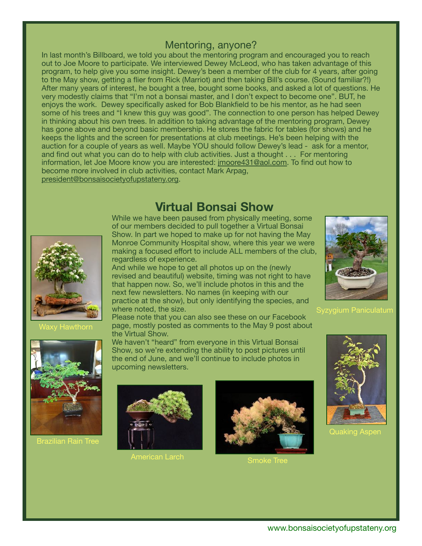### Mentoring, anyone?

In last month's Billboard, we told you about the mentoring program and encouraged you to reach out to Joe Moore to participate. We interviewed Dewey McLeod, who has taken advantage of this program, to help give you some insight. Dewey's been a member of the club for 4 years, after going to the May show, getting a flier from Rick (Marriot) and then taking Bill's course. (Sound familiar?!) After many years of interest, he bought a tree, bought some books, and asked a lot of questions. He very modestly claims that "I'm not a bonsai master, and I don't expect to become one". BUT, he enjoys the work. Dewey specifically asked for Bob Blankfield to be his mentor, as he had seen some of his trees and "I knew this guy was good". The connection to one person has helped Dewey in thinking about his own trees. In addition to taking advantage of the mentoring program, Dewey has gone above and beyond basic membership. He stores the fabric for tables (for shows) and he keeps the lights and the screen for presentations at club meetings. He's been helping with the auction for a couple of years as well. Maybe YOU should follow Dewey's lead - ask for a mentor, and find out what you can do to help with club activities. Just a thought . . . For mentoring information, let Joe Moore know you are interested: [jmoore431@aol.com](mailto:jmoore431@aol.com). To find out how to become more involved in club activities, contact Mark Arpag, [president@bonsaisocietyofupstateny.org](mailto:president@bonsaisocietyofupstateny.org).

### **Virtual Bonsai Show**





Brazilian Rain Tree

While we have been paused from physically meeting, some of our members decided to pull together a Virtual Bonsai Show. In part we hoped to make up for not having the May Monroe Community Hospital show, where this year we were making a focused effort to include ALL members of the club, regardless of experience.

And while we hope to get all photos up on the (newly<br>assigned and boostiful) uphotos timing we not right to revised and beautiful) website, timing was not right to have that happen now. So, we'll include photos in this and the next few newsletters. No names (in keeping with our practice at the show), but only identifying the species, and where noted, the size.

Please note that you can also see these on our Facebook page, mostly posted as comments to the May 9 post about the Virtual Show.

We haven't "heard" from everyone in this Virtual Bonsai Show, so we're extending the ability to post pictures until the end of June, and we'll continue to include photos in upcoming newsletters.



American Larch **Container Smoke Tree** 





Syzygium Paniculatum



**Quaking Asper**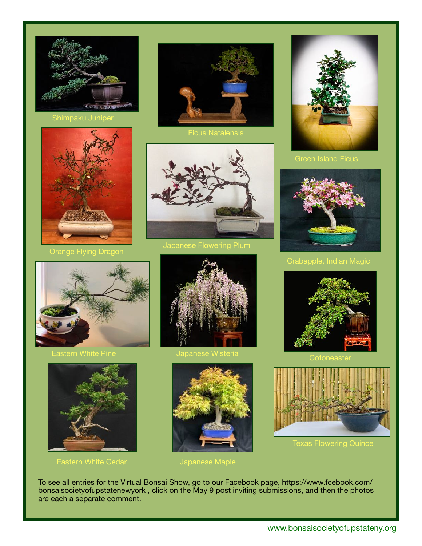









Crabapple, Indian Magic



Eastern White Pine



Eastern White Cedar **Japanese Maple** 



Japanese Wisteria



To see all entries for the Virtual Bonsai Show, go to our Facebook page, [https://www.fcebook.com/](https://www.fcebook.com/bonsaisocietyofupstatenewyork)





Texas Flowering Quince

[bonsaisocietyofupstatenewyork](https://www.fcebook.com/bonsaisocietyofupstatenewyork), click on the May 9 post inviting submissions, and then the photos are each a separate comment.